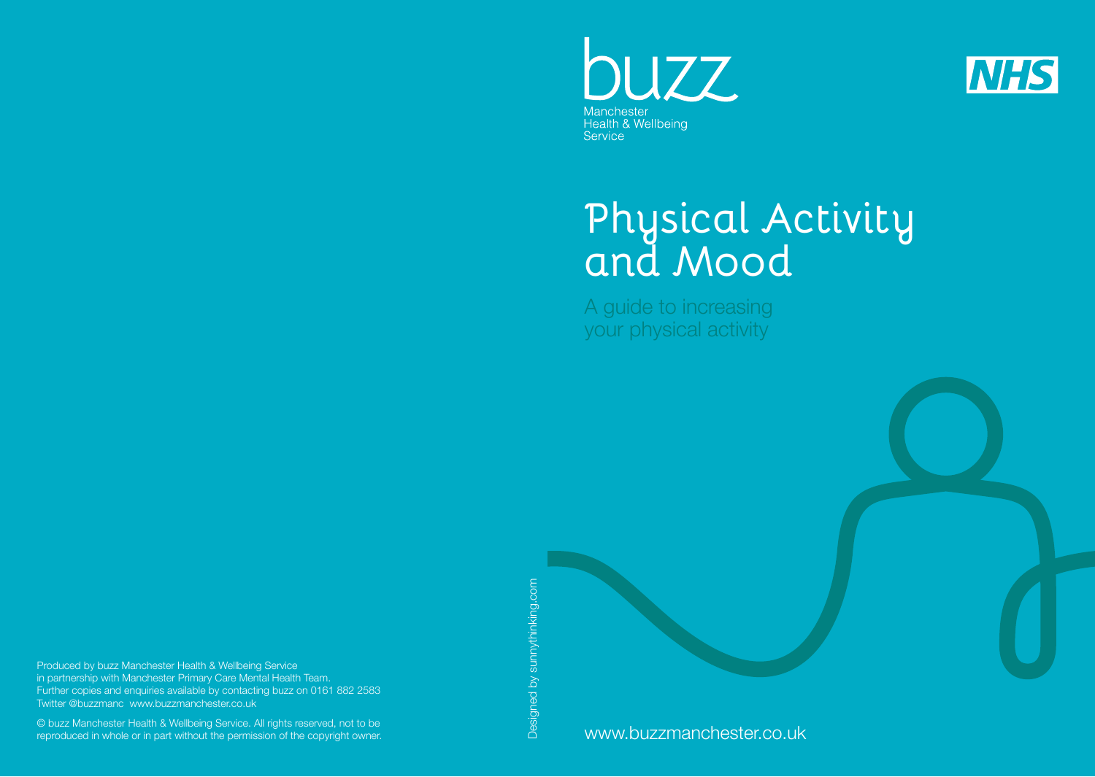



# **Physical Activity and Mood**

A guide to increasing your physical activity

Produced by buzz Manchester Health & Wellbeing Service in partnership with Manchester Primary Care Mental Health Team. Further copies and enquiries available by contacting buzz on 0161 882 2583 Twitter @buzzmanc www.buzzmanchester.co.uk

© buzz Manchester Health & Wellbeing Service. All rights reserved, not to be reproduced in whole or in part without the permission of the copyright owner. Designed by sunnythinking.com Designed by sunnythinking.com

www.buzzmanchester.co.uk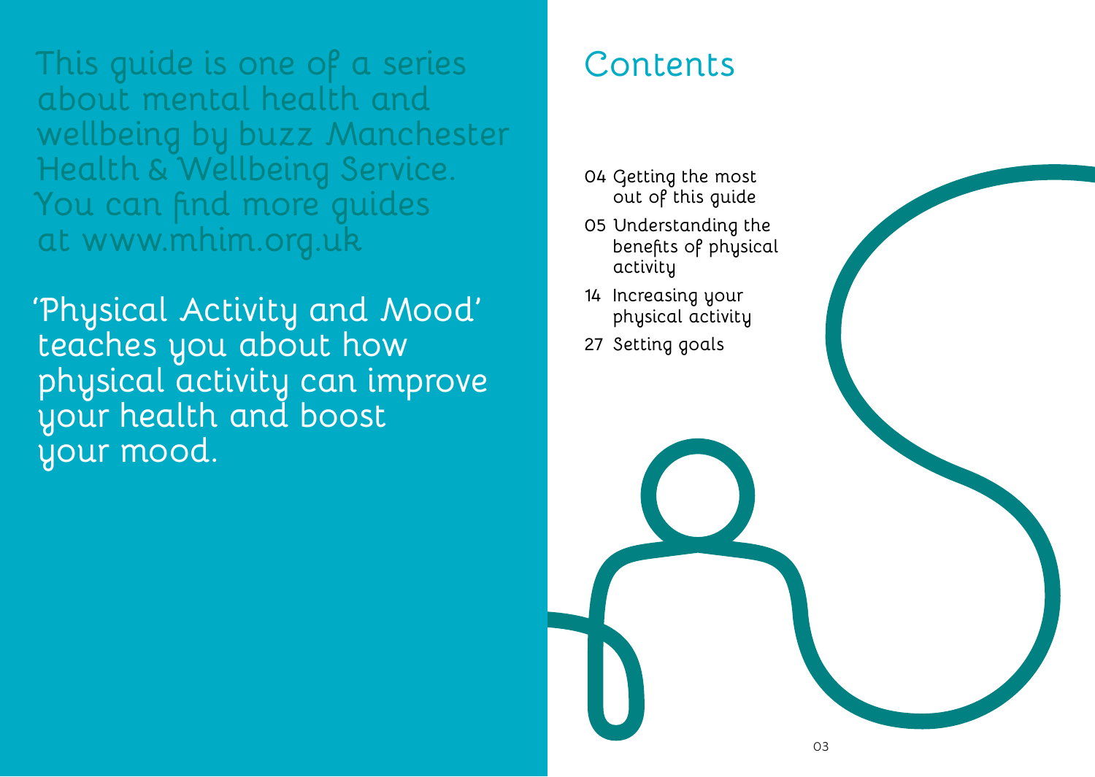**This guide is one of a series about mental health and wellbeing by buzz Manchester Health & Wellbeing Service. You can find more guides at www.mhim.org.uk**

**'Physical Activity and Mood' teaches you about how physical activity can improve your health and boost your mood.**

# **Contents**

- **04 Getting the most out of this guide**
- **05 Understanding the benefits of physical activity**
- **14 Increasing your physical activity**
- **27 Setting goals**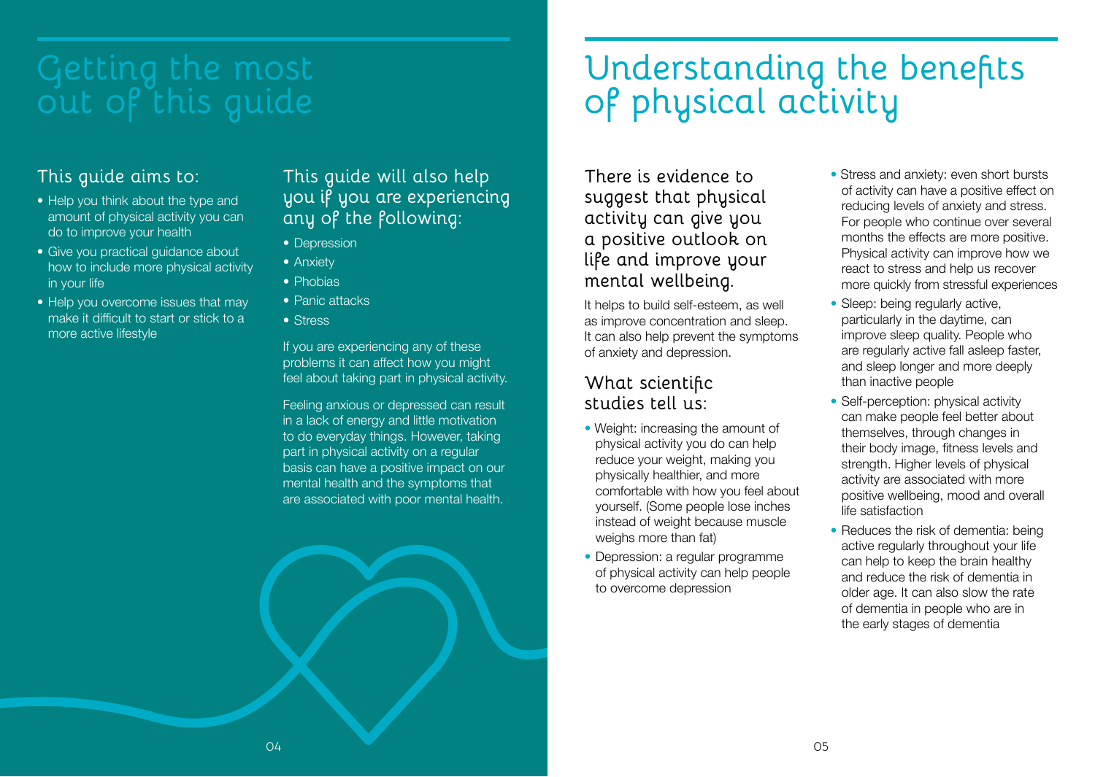#### **This guide aims to:**

- Help you think about the type and amount of physical activity you can do to improve your health
- Give you practical quidance about how to include more physical activity in your life
- Help you overcome issues that may make it difficult to start or stick to a more active lifestyle

**This guide will also help you if you are experiencing any of the following:**

- Depression
- Anxiety
- Phobias
- Panic attacks
- Stress

If you are experiencing any of these problems it can affect how you might feel about taking part in physical activity.

Feeling anxious or depressed can result in a lack of energy and little motivation to do everyday things. However, taking part in physical activity on a regular basis can have a positive impact on our mental health and the symptoms that are associated with poor mental health.

# **out of this guide Understanding the benefits of physical activity**

**There is evidence to suggest that physical activity can give you a positive outlook on life and improve your mental wellbeing.** 

It helps to build self-esteem, as well as improve concentration and sleep. It can also help prevent the symptoms of anxiety and depression.

#### **What scientific studies tell us:**

- Weight: increasing the amount of physical activity you do can help reduce your weight, making you physically healthier, and more comfortable with how you feel about yourself. (Some people lose inches instead of weight because muscle weighs more than fat)
- Depression: a regular programme of physical activity can help people to overcome depression
- Stress and anxiety: even short bursts of activity can have a positive effect on reducing levels of anxiety and stress. For people who continue over several months the effects are more positive. Physical activity can improve how we react to stress and help us recover more quickly from stressful experiences
- Sleep: being regularly active. particularly in the daytime, can improve sleep quality. People who are regularly active fall asleep faster, and sleep longer and more deeply than inactive people
- Self-perception: physical activity can make people feel better about themselves, through changes in their body image, fitness levels and strength. Higher levels of physical activity are associated with more positive wellbeing, mood and overall life satisfaction
- Reduces the risk of dementia: being active regularly throughout your life can help to keep the brain healthy and reduce the risk of dementia in older age. It can also slow the rate of dementia in people who are in the early stages of dementia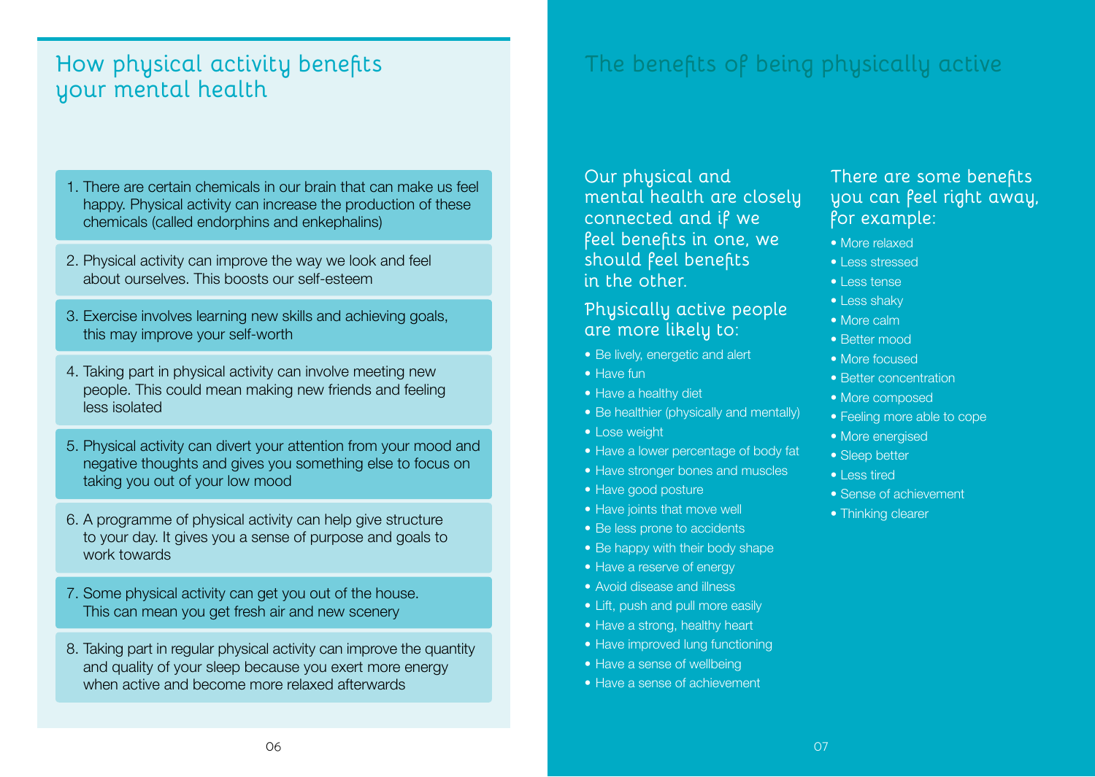#### **How physical activity benefits your mental health**

- 1. There are certain chemicals in our brain that can make us feel happy. Physical activity can increase the production of these chemicals (called endorphins and enkephalins)
- 2. Physical activity can improve the way we look and feel about ourselves. This boosts our self-esteem
- 3. Exercise involves learning new skills and achieving goals, this may improve your self-worth
- 4. Taking part in physical activity can involve meeting new people. This could mean making new friends and feeling less isolated
- 5. Physical activity can divert your attention from your mood and negative thoughts and gives you something else to focus on taking you out of your low mood
- 6. A programme of physical activity can help give structure to your day. It gives you a sense of purpose and goals to work towards
- 7. Some physical activity can get you out of the house. This can mean you get fresh air and new scenery
- 8. Taking part in regular physical activity can improve the quantity and quality of your sleep because you exert more energy when active and become more relaxed afterwards

## **The benefits of being physically active**

**Our physical and mental health are closely connected and if we feel benefits in one, we should feel benefits in the other.** 

#### **Physically active people are more likely to:**

- Be lively, energetic and alert
- Have fun
- Have a healthy diet
- Be healthier (physically and mentally)
- Lose weight
- Have a lower percentage of body fat
- Have stronger bones and muscles
- Have good posture
- Have joints that move well
- Be less prone to accidents
- Be happy with their body shape
- Have a reserve of energy
- Avoid disease and illness
- Lift, push and pull more easily
- Have a strong, healthy heart
- Have improved lung functioning
- Have a sense of wellbeing
- Have a sense of achievement

#### **There are some benefits you can feel right away, for example:**

- More relaxed
- Less stressed
- Less tense
- Less shaky
- More calm
- Better mood
- More focused
- Better concentration
- More composed
- Feeling more able to cope
- More energised
- Sleep better
- Less tired
- Sense of achievement
- Thinking clearer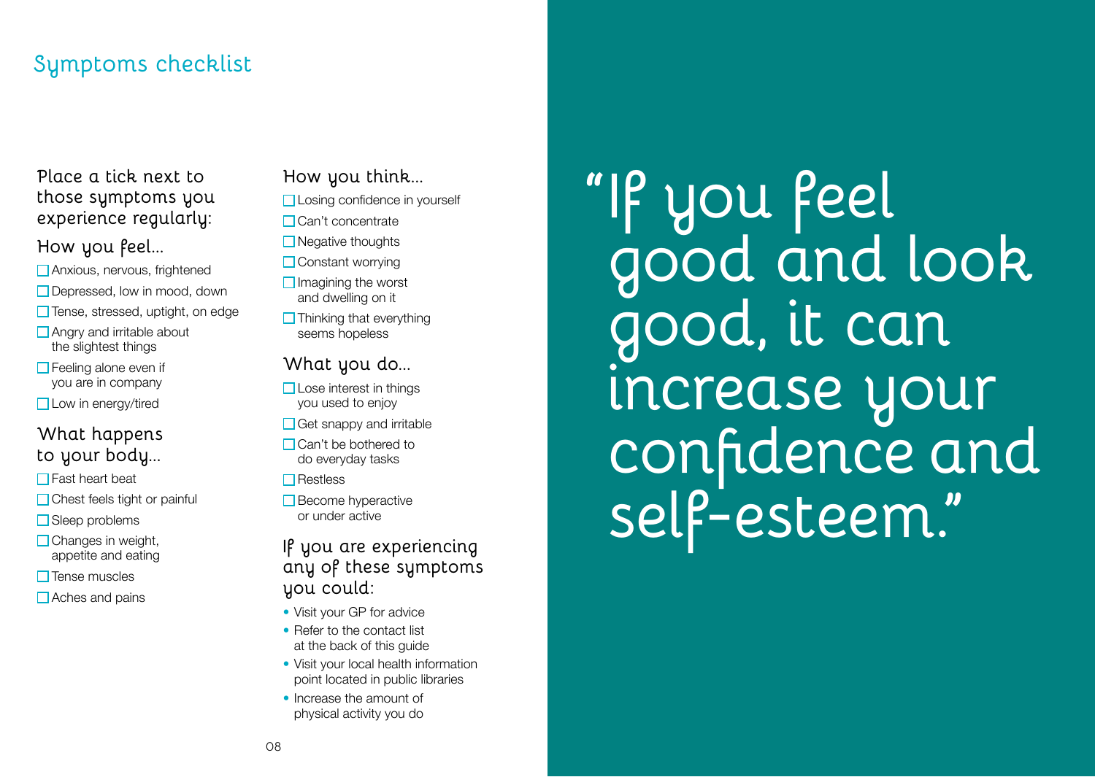## **Symptoms checklist**

#### **Place a tick next to those symptoms you experience regularly:**

#### **How you feel...**

- Anxious, nervous, frightened
- □ Depressed, low in mood, down
- □ Tense, stressed, uptight, on edge
- Angry and irritable about the slightest things
- $\Box$  Feeling alone even if you are in company
- □ Low in energy/tired

#### **What happens to your body...**

- $\Box$  Fast heart beat
- **□** Chest feels tight or painful
- Sleep problems
- $\Box$  Changes in weight, appetite and eating
- $\square$  Tense muscles
- $\Box$  Aches and pains

#### **How you think...**

**□ Losing confidence in yourself** 

- Can't concentrate
- **□** Negative thoughts
- **□ Constant worrying**
- $\Box$  Imagining the worst and dwelling on it
- $\Box$  Thinking that everything seems hopeless

#### **What you do...**

- $\Box$  Lose interest in things you used to enjoy
- $\Box$  Get snappy and irritable
- $\Box$  Can't be bothered to do everyday tasks

 $\Box$ Restless

 $\Box$  Become hyperactive or under active

#### **If you are experiencing any of these symptoms you could:**

- Visit your GP for advice
- Refer to the contact list at the back of this guide
- Visit your local health information point located in public libraries
- Increase the amount of physical activity you do

**"If you feel good and look good, it can increase your confidence and self-esteem."**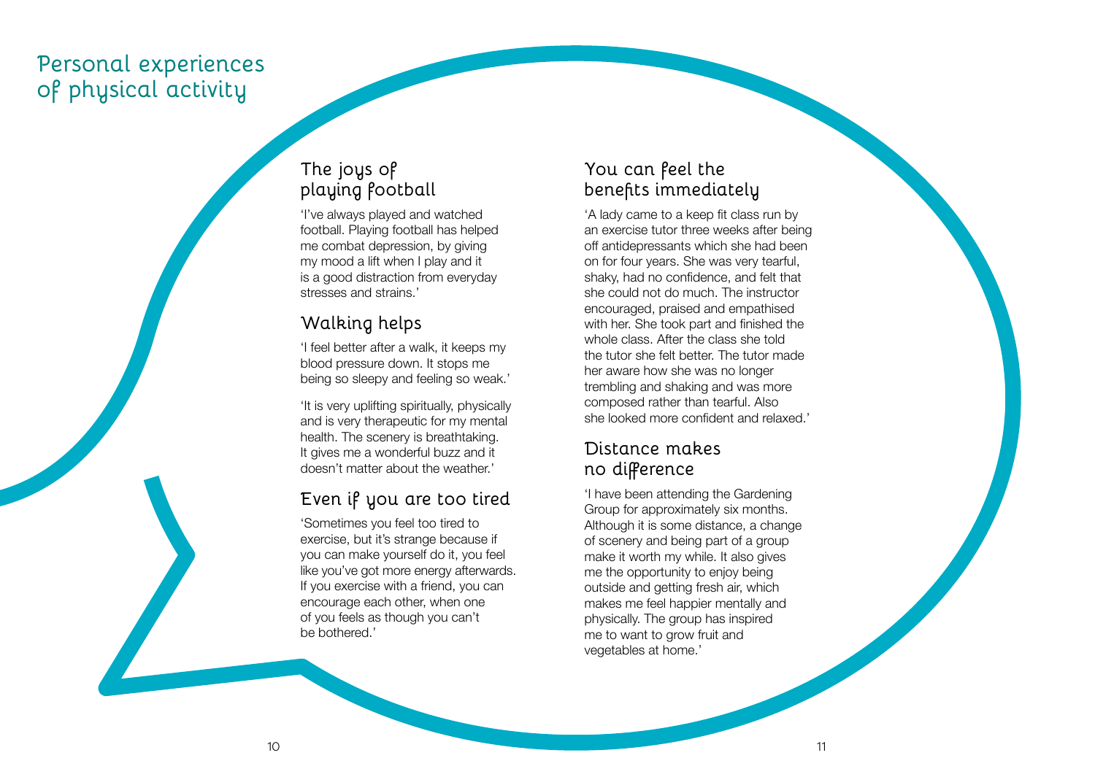#### **Personal experiences of physical activity**

#### **The joys of playing football**

'I've always played and watched football. Playing football has helped me combat depression, by giving my mood a lift when I play and it is a good distraction from everyday stresses and strains.'

#### **Walking helps**

'I feel better after a walk, it keeps my blood pressure down. It stops me being so sleepy and feeling so weak.'

'It is very uplifting spiritually, physically and is very therapeutic for my mental health. The scenery is breathtaking. It gives me a wonderful buzz and it doesn't matter about the weather.'

#### **Even if you are too tired**

'Sometimes you feel too tired to exercise, but it's strange because if you can make yourself do it, you feel like you've got more energy afterwards. If you exercise with a friend, you can encourage each other, when one of you feels as though you can't be bothered.'

#### **You can feel the benefits immediately**

'A lady came to a keep fit class run by an exercise tutor three weeks after being off antidepressants which she had been on for four years. She was very tearful, shaky, had no confidence, and felt that she could not do much. The instructor encouraged, praised and empathised with her. She took part and finished the whole class. After the class she told the tutor she felt better. The tutor made her aware how she was no longer trembling and shaking and was more composed rather than tearful. Also she looked more confident and relaxed.'

#### **Distance makes no difference**

'I have been attending the Gardening Group for approximately six months. Although it is some distance, a change of scenery and being part of a group make it worth my while. It also gives me the opportunity to enjoy being outside and getting fresh air, which makes me feel happier mentally and physically. The group has inspired me to want to grow fruit and vegetables at home.'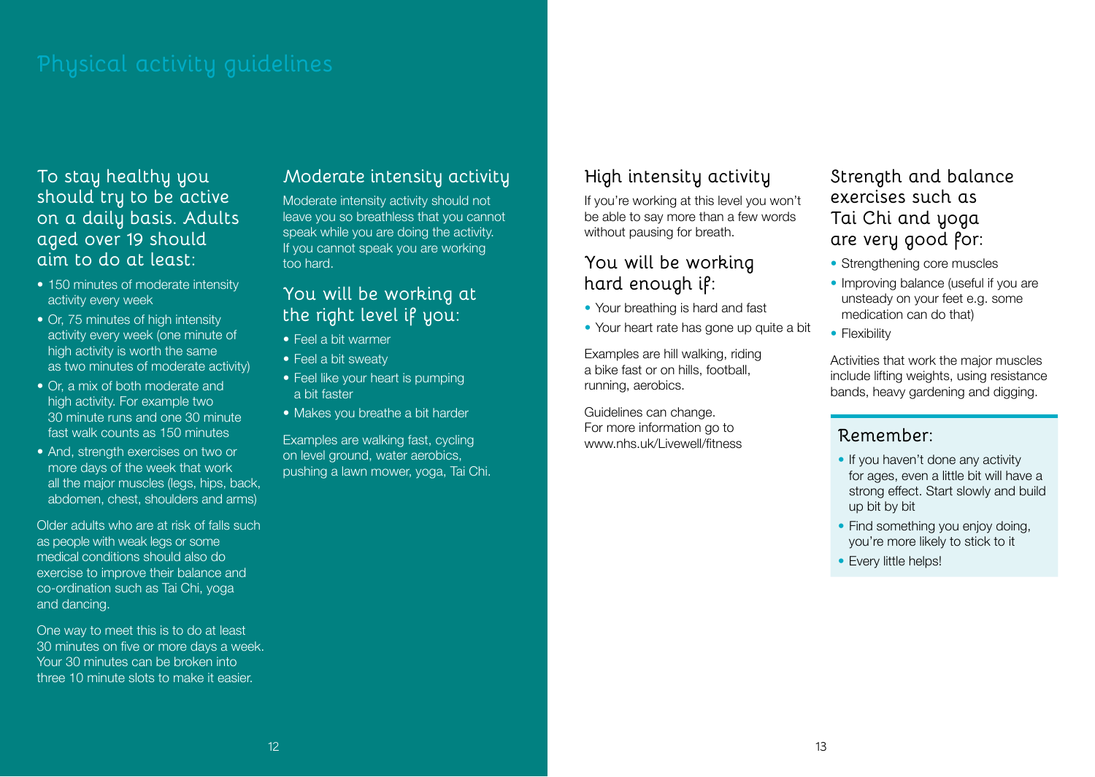**To stay healthy you should try to be active on a daily basis. Adults aged over 19 should aim to do at least:**

- 150 minutes of moderate intensity activity every week
- Or, 75 minutes of high intensity activity every week (one minute of high activity is worth the same as two minutes of moderate activity)
- Or, a mix of both moderate and high activity. For example two 30 minute runs and one 30 minute fast walk counts as 150 minutes
- And, strength exercises on two or more days of the week that work all the major muscles (legs, hips, back, abdomen, chest, shoulders and arms)

Older adults who are at risk of falls such as people with weak legs or some medical conditions should also do exercise to improve their balance and co-ordination such as Tai Chi, yoga and dancing.

One way to meet this is to do at least 30 minutes on five or more days a week. Your 30 minutes can be broken into three 10 minute slots to make it easier.

#### **Moderate intensity activity**

Moderate intensity activity should not leave you so breathless that you cannot speak while you are doing the activity. If you cannot speak you are working too hard.

#### **You will be working at the right level if you:**

- Feel a bit warmer
- Feel a bit sweaty
- Feel like your heart is pumping a bit faster
- Makes you breathe a bit harder

Examples are walking fast, cycling on level ground, water aerobics, pushing a lawn mower, yoga, Tai Chi.

#### **High intensity activity**

If you're working at this level you won't be able to say more than a few words without pausing for breath.

#### **You will be working hard enough if:**

- Your breathing is hard and fast
- Your heart rate has gone up quite a bit

Examples are hill walking, riding a bike fast or on hills, football, running, aerobics.

Guidelines can change. For more information go to www.nhs.uk/Livewell/fitness **Strength and balance exercises such as Tai Chi and yoga are very good for:**

- Strengthening core muscles
- Improving balance (useful if you are unsteady on your feet e.g. some medication can do that)
- Flexibility

Activities that work the major muscles include lifting weights, using resistance bands, heavy gardening and digging.

#### **Remember:**

- If you haven't done any activity for ages, even a little bit will have a strong effect. Start slowly and build up bit by bit
- Find something you enjoy doing, you're more likely to stick to it
- Every little helps!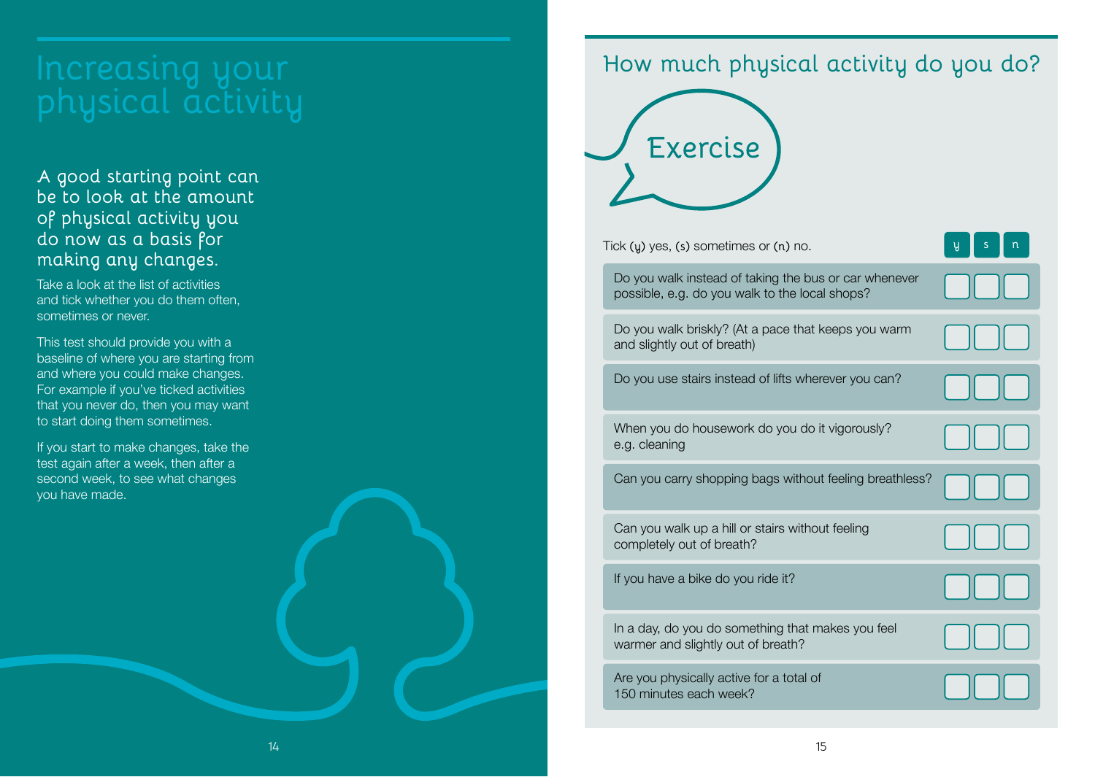# **Increasing your physical activity**

**A good starting point can be to look at the amount of physical activity you do now as a basis for making any changes.** 

Take a look at the list of activities and tick whether you do them often, sometimes or never.

This test should provide you with a baseline of where you are starting from and where you could make changes. For example if you've ticked activities that you never do, then you may want to start doing them sometimes.

If you start to make changes, take the test again after a week, then after a second week, to see what changes you have made.

#### **How much physical activity do you do?**



Tick **(y)** yes, **(s)** sometimes or **(n)** no.

Do you walk instead of taking the bus or car whenever possible, e.g. do you walk to the local shops?

Do you walk briskly? (At a pace that keeps you warm and slightly out of breath)

Do you use stairs instead of lifts wherever you can?

| When you do housework do you do it vigorously? |  |
|------------------------------------------------|--|
| e.g. cleaning                                  |  |

Can you carry shopping bags without feeling breathless?

Can you walk up a hill or stairs without feeling completely out of breath?

If you have a bike do you ride it?

In a day, do you do something that makes you feel warmer and slightly out of breath?

Are you physically active for a total of 150 minutes each week?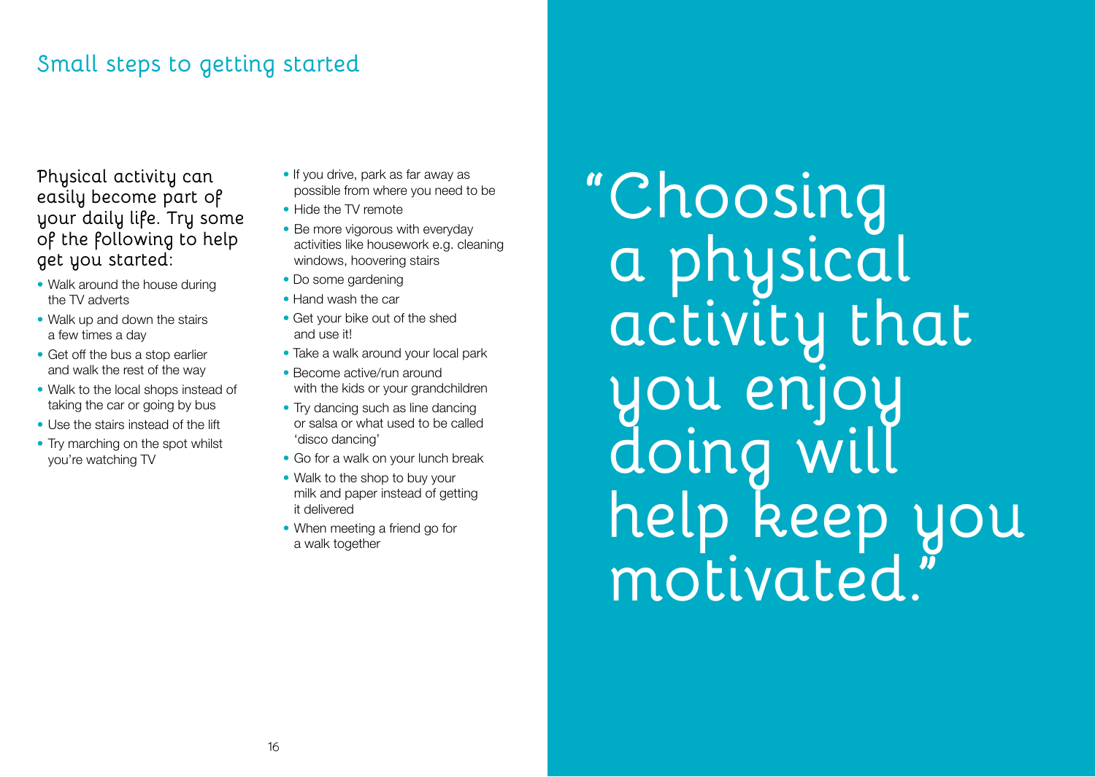#### **Small steps to getting started**

**Physical activity can easily become part of your daily life. Try some of the following to help get you started:**

- Walk around the house during the TV adverts
- Walk up and down the stairs a few times a day
- Get off the bus a stop earlier and walk the rest of the way
- Walk to the local shops instead of taking the car or going by bus
- Use the stairs instead of the lift
- Try marching on the spot whilst you're watching TV
- If you drive, park as far away as possible from where you need to be
- Hide the TV remote
- Be more vigorous with everyday activities like housework e.g. cleaning windows, hoovering stairs
- Do some gardening
- Hand wash the car
- Get your bike out of the shed and use it!
- Take a walk around your local park
- Become active/run around with the kids or your grandchildren
- Try dancing such as line dancing or salsa or what used to be called 'disco dancing'
- Go for a walk on your lunch break
- Walk to the shop to buy your milk and paper instead of getting it delivered
- When meeting a friend go for a walk together

**"Choosing a physical activity that you enjoy ding help keep you motivated."**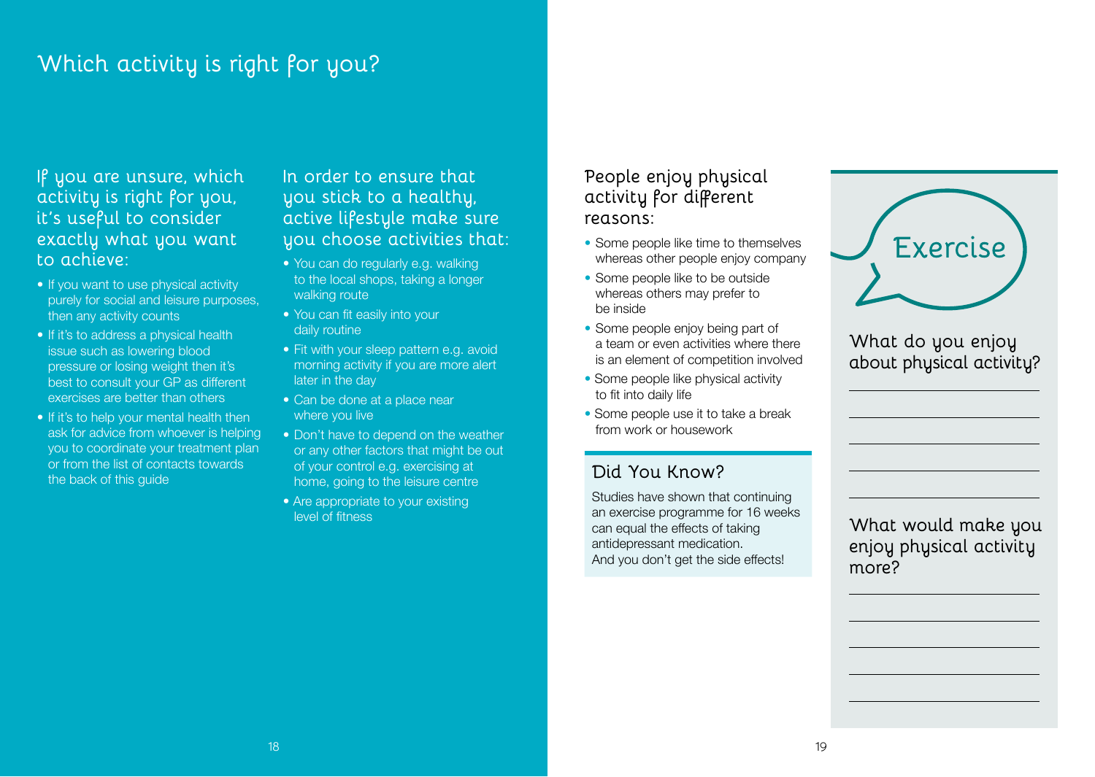## **Which activity is right for you?**

#### **If you are unsure, which activity is right for you, it's useful to consider exactly what you want to achieve:**

- If you want to use physical activity purely for social and leisure purposes, then any activity counts
- If it's to address a physical health issue such as lowering blood pressure or losing weight then it's best to consult your GP as different exercises are better than others
- If it's to help your mental health then ask for advice from whoever is helping you to coordinate your treatment plan or from the list of contacts towards the back of this guide

**In order to ensure that you stick to a healthy, active lifestyle make sure you choose activities that:**

- You can do regularly e.g. walking to the local shops, taking a longer walking route
- You can fit easily into your daily routine
- Fit with your sleep pattern e.g. avoid morning activity if you are more alert later in the day
- Can be done at a place near where you live
- Don't have to depend on the weather or any other factors that might be out of your control e.g. exercising at home, going to the leisure centre
- Are appropriate to your existing level of fitness

#### **People enjoy physical activity for different reasons:**

- Some people like time to themselves whereas other people enjoy company
- Some people like to be outside whereas others may prefer to be inside
- Some people enjoy being part of a team or even activities where there is an element of competition involved
- Some people like physical activity to fit into daily life
- Some people use it to take a break from work or housework

#### **Did You Know?**

Studies have shown that continuing an exercise programme for 16 weeks can equal the effects of taking antidepressant medication. And you don't get the side effects!

| <b>Exercise</b> |
|-----------------|
|                 |

#### **What do you enjoy about physical activity?**

**What would make you enjoy physical activity more?**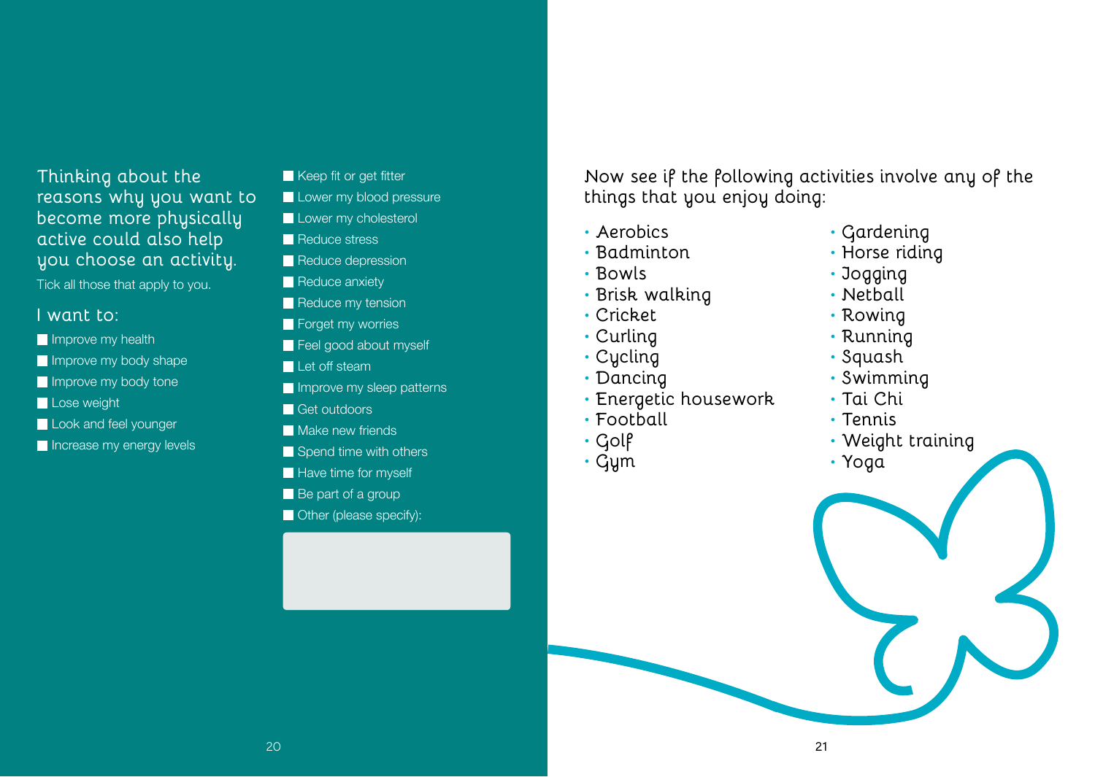#### **Thinking about the reasons why you want to become more physically active could also help you choose an activity.**

Tick all those that apply to you.

#### **I want to:**

- Improve my health
- **Improve my body shape**
- Improve my body tone
- Lose weight
- Look and feel younger
- Increase my energy levels
- Keep fit or get fitter
- Lower my blood pressure
- Lower my cholesterol
- Reduce stress
- Reduce depression
- Reduce anxiety
- Reduce my tension
- Forget my worries
- Feel good about myself
- Let off steam
- Improve my sleep patterns
- Get outdoors
- **Make new friends**
- Spend time with others
- Have time for myself
- Be part of a group
- **Other (please specify):**

**Now see if the following activities involve any of the things that you enjoy doing:**

- **• Aerobics**
- **• Badminton**
- **• Bowls**
- **• Brisk walking**
- **• Cricket**
- **• Curling**
- **• Cycling**
- **• Dancing**
- **• Energetic housework**
- **• Football**
- **• Golf**
- **• Gym**
- **• Gardening**
- **• Horse riding**
- **• Jogging**
- **• Netball**
- **• Rowing**
- **• Running**
- **• Squash**
- **• Swimming**
- **• Tai Chi**
- **• Tennis**
- **• Weight training**
- **• Yoga**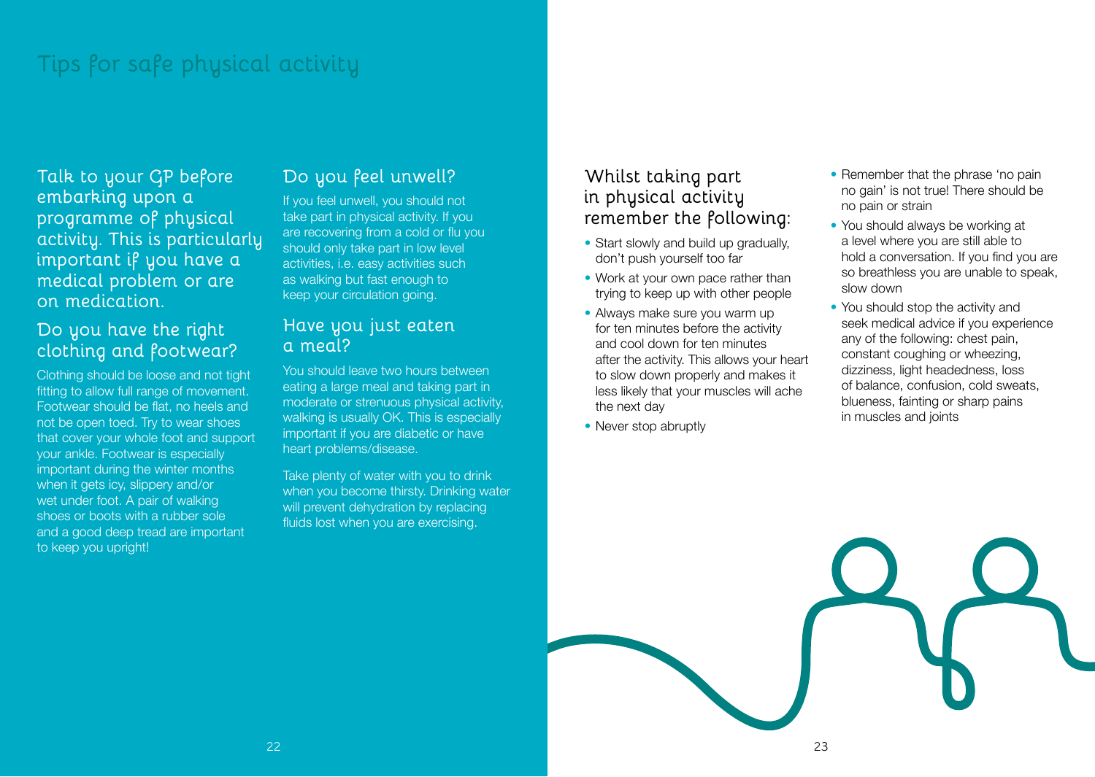## **Tips for safe physical activity**

**Talk to your GP before embarking upon a programme of physical activity. This is particularly important if you have a medical problem or are on medication.**

#### **Do you have the right clothing and footwear?**

Clothing should be loose and not tight fitting to allow full range of movement. Footwear should be flat, no heels and not be open toed. Try to wear shoes that cover your whole foot and support your ankle. Footwear is especially important during the winter months when it gets icy, slippery and/or wet under foot. A pair of walking shoes or boots with a rubber sole and a good deep tread are important to keep you upright!

#### **Do you feel unwell?**

If you feel unwell, you should not take part in physical activity. If you are recovering from a cold or flu you should only take part in low level activities, i.e. easy activities such as walking but fast enough to keep your circulation going.

#### **Have you just eaten a meal?**

You should leave two hours between eating a large meal and taking part in moderate or strenuous physical activity, walking is usually OK. This is especially important if you are diabetic or have heart problems/disease.

Take plenty of water with you to drink when you become thirsty. Drinking water will prevent dehydration by replacing fluids lost when you are exercising.

#### **Whilst taking part in physical activity remember the following:**

- Start slowly and build up gradually, don't push yourself too far
- Work at your own pace rather than trying to keep up with other people
- Always make sure you warm up for ten minutes before the activity and cool down for ten minutes after the activity. This allows your heart to slow down properly and makes it less likely that your muscles will ache the next day
- Never stop abruptly
- Remember that the phrase 'no pain no gain' is not true! There should be no pain or strain
- You should always be working at a level where you are still able to hold a conversation. If you find you are so breathless you are unable to speak, slow down
- You should stop the activity and seek medical advice if you experience any of the following: chest pain, constant coughing or wheezing, dizziness, light headedness, loss of balance, confusion, cold sweats, blueness, fainting or sharp pains in muscles and joints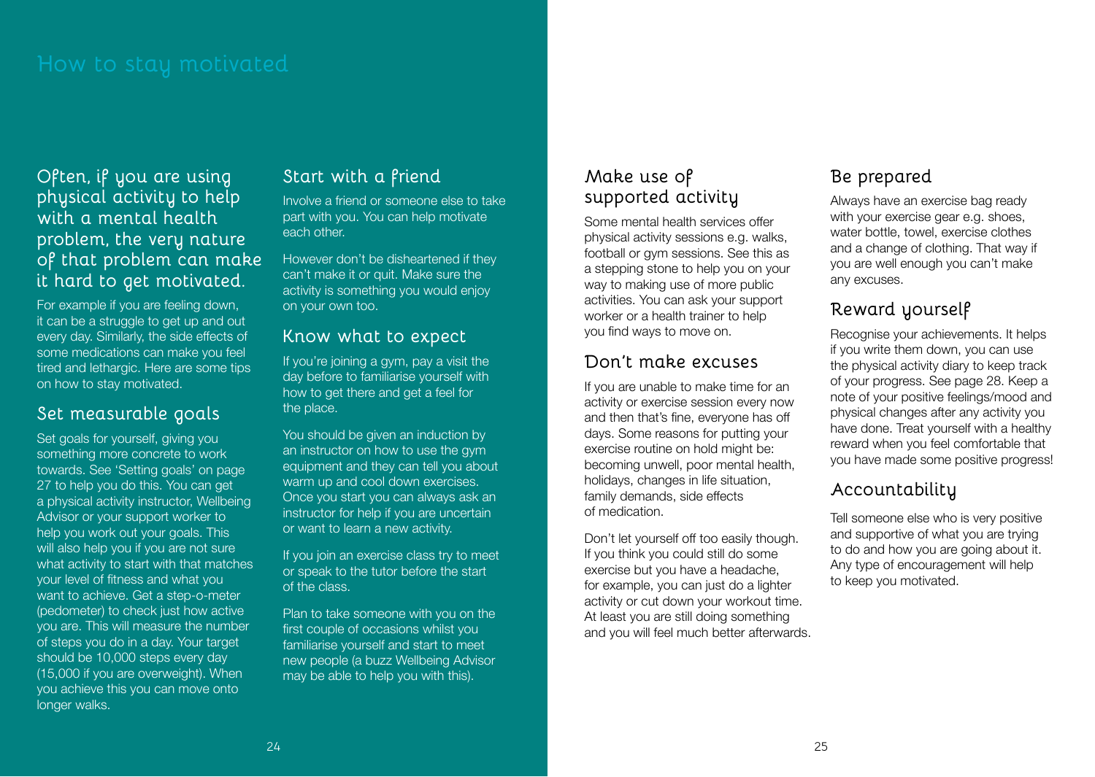**Often, if you are using physical activity to help with a mental health problem, the very nature of that problem can make it hard to get motivated.** 

For example if you are feeling down, it can be a struggle to get up and out every day. Similarly, the side effects of some medications can make you feel tired and lethargic. Here are some tips on how to stay motivated.

#### **Set measurable goals**

Set goals for yourself, giving you something more concrete to work towards. See 'Setting goals' on page 27 to help you do this. You can get a physical activity instructor, Wellbeing Advisor or your support worker to help you work out your goals. This will also help you if you are not sure what activity to start with that matches your level of fitness and what you want to achieve. Get a step-o-meter (pedometer) to check just how active you are. This will measure the number of steps you do in a day. Your target should be 10,000 steps every day (15,000 if you are overweight). When you achieve this you can move onto longer walks.

#### **Start with a friend**

Involve a friend or someone else to take part with you. You can help motivate each other.

However don't be disheartened if they can't make it or quit. Make sure the activity is something you would enjoy on your own too.

#### **Know what to expect**

If you're joining a gym, pay a visit the day before to familiarise yourself with how to get there and get a feel for the place.

You should be given an induction by an instructor on how to use the gym equipment and they can tell you about warm up and cool down exercises. Once you start you can always ask an instructor for help if you are uncertain or want to learn a new activity.

If you join an exercise class try to meet or speak to the tutor before the start of the class.

Plan to take someone with you on the first couple of occasions whilst you familiarise yourself and start to meet new people (a buzz Wellbeing Advisor may be able to help you with this).

#### **Make use of supported activity**

Some mental health services offer physical activity sessions e.g. walks, football or gym sessions. See this as a stepping stone to help you on your way to making use of more public activities. You can ask your support worker or a health trainer to help you find ways to move on.

#### **Don't make excuses**

If you are unable to make time for an activity or exercise session every now and then that's fine, everyone has off days. Some reasons for putting your exercise routine on hold might be: becoming unwell, poor mental health, holidays, changes in life situation, family demands, side effects of medication.

Don't let yourself off too easily though. If you think you could still do some exercise but you have a headache, for example, you can just do a lighter activity or cut down your workout time. At least you are still doing something and you will feel much better afterwards.

#### **Be prepared**

Always have an exercise bag ready with your exercise gear e.g. shoes. water bottle, towel, exercise clothes and a change of clothing. That way if you are well enough you can't make any excuses.

#### **Reward yourself**

Recognise your achievements. It helps if you write them down, you can use the physical activity diary to keep track of your progress. See page 28. Keep a note of your positive feelings/mood and physical changes after any activity you have done. Treat yourself with a healthy reward when you feel comfortable that you have made some positive progress!

#### **Accountability**

Tell someone else who is very positive and supportive of what you are trying to do and how you are going about it. Any type of encouragement will help to keep you motivated.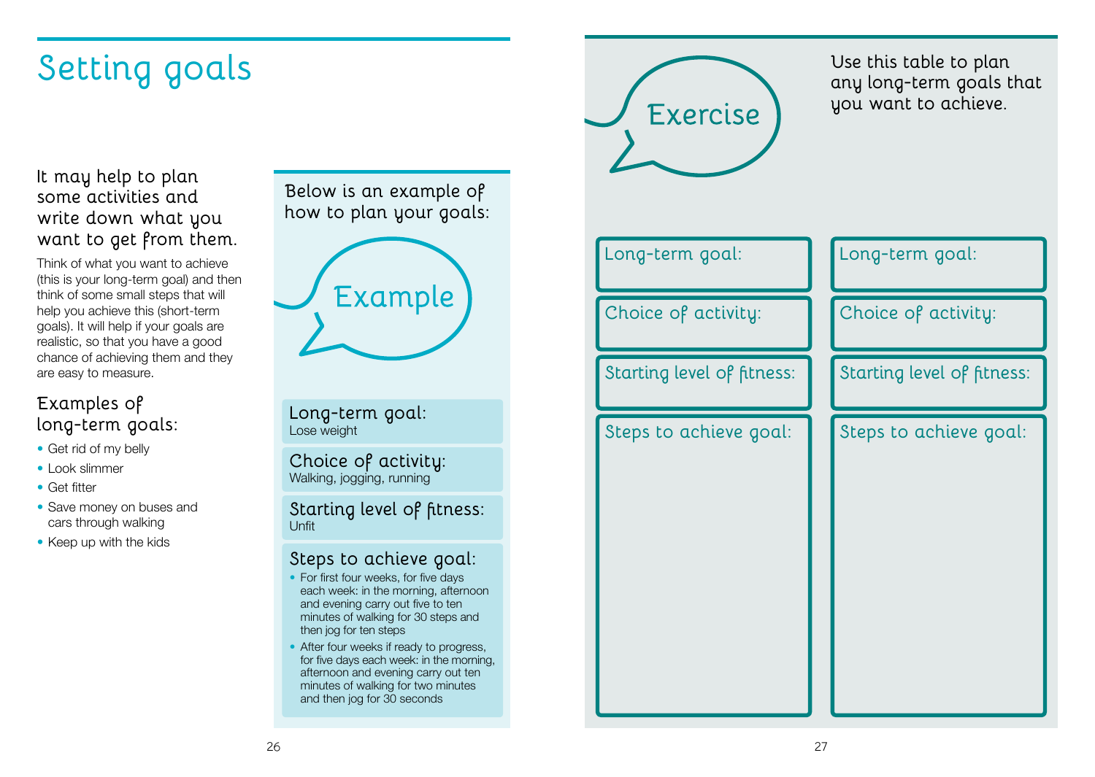# **Setting goals**

#### **It may help to plan some activities and write down what you want to get from them.**

Think of what you want to achieve (this is your long-term goal) and then think of some small steps that will help you achieve this (short-term goals). It will help if your goals are realistic, so that you have a good chance of achieving them and they are easy to measure.

#### **Examples of long-term goals:**

- Get rid of my belly
- • Look slimmer
- Get fitter
- Save money on buses and cars through walking
- Keep up with the kids

**Below is an example of how to plan your goals:**



**Long-term goal:** Lose weight

**Choice of activity:** Walking, jogging, running

**Starting level of fitness:** Unfit

#### **Steps to achieve goal:**

- For first four weeks, for five days each week: in the morning, afternoon and evening carry out five to ten minutes of walking for 30 steps and then jog for ten steps
- After four weeks if ready to progress, for five days each week: in the morning, afternoon and evening carry out ten minutes of walking for two minutes and then jog for 30 seconds



**Use this table to plan any long-term goals that you want to achieve.** 

| Long-term goal:            | Long-term goal:            |
|----------------------------|----------------------------|
| Choice of activity:        | Choice of activity:        |
| Starting level of fitness: | Starting level of fitness: |
| Steps to achieve goal:     | Steps to achieve goal:     |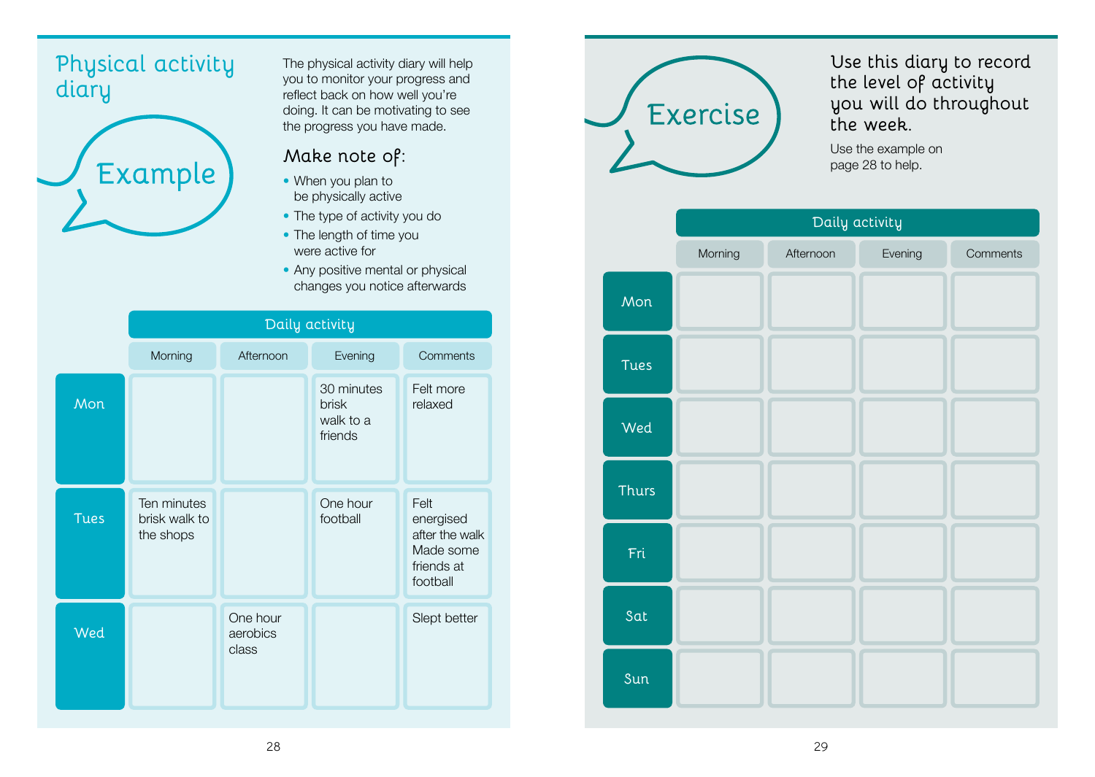#### **Physical activity diary**



The physical activity diary will help you to monitor your progress and reflect back on how well you're doing. It can be motivating to see the progress you have made.

#### **Make note of:**

- When you plan to be physically active
- The type of activity you do
- The length of time you were active for
- Any positive mental or physical changes you notice afterwards





#### **Use this diary to record the level of activity you will do throughout the week.**

Use the example on page 28 to help.